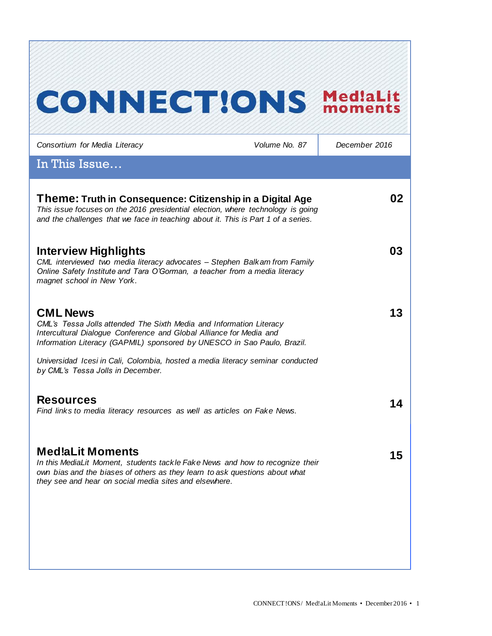# **CONNECT!ONS Med!aLit**

| Consortium for Media Literacy                                                                                                                                                                                                                     | Volume No. 87 | December 2016 |
|---------------------------------------------------------------------------------------------------------------------------------------------------------------------------------------------------------------------------------------------------|---------------|---------------|
| In This Issue                                                                                                                                                                                                                                     |               |               |
| Theme: Truth in Consequence: Citizenship in a Digital Age<br>This issue focuses on the 2016 presidential election, where technology is going<br>and the challenges that we face in teaching about it. This is Part 1 of a series.                 |               | 02            |
| <b>Interview Highlights</b><br>CML interviewed two media literacy advocates - Stephen Balkam from Family<br>Online Safety Institute and Tara O'Gorman, a teacher from a media literacy<br>magnet school in New York.                              |               | 03            |
| <b>CML News</b><br>CML's Tessa Jolls attended The Sixth Media and Information Literacy<br>Intercultural Dialogue Conference and Global Alliance for Media and<br>Information Literacy (GAPMIL) sponsored by UNESCO in Sao Paulo, Brazil.          |               | 13            |
| Universidad Icesi in Cali, Colombia, hosted a media literacy seminar conducted<br>by CML's Tessa Jolls in December.                                                                                                                               |               |               |
| <b>Resources</b><br>Find links to media literacy resources as well as articles on Fake News.                                                                                                                                                      |               | 14            |
| <b>Med!aLit Moments</b><br>In this MediaLit Moment, students tackle Fake News and how to recognize their<br>own bias and the biases of others as they learn to ask questions about what<br>they see and hear on social media sites and elsewhere. |               | 15            |
|                                                                                                                                                                                                                                                   |               |               |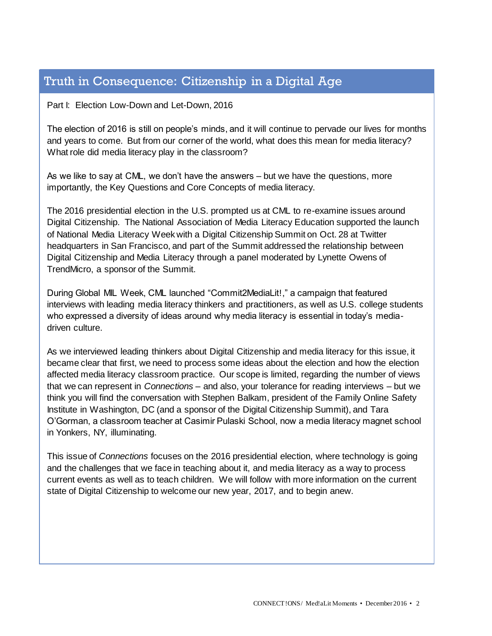# Truth in Consequence: Citizenship in a Digital Age

#### Part I: Election Low-Down and Let-Down, 2016

The election of 2016 is still on people's minds, and it will continue to pervade our lives for months and years to come. But from our corner of the world, what does this mean for media literacy? What role did media literacy play in the classroom?

As we like to say at CML, we don't have the answers – but we have the questions, more importantly, the Key Questions and Core Concepts of media literacy.

The 2016 presidential election in the U.S. prompted us at CML to re-examine issues around Digital Citizenship. The National Association of Media Literacy Education supported the launch of National Media Literacy Week with a Digital Citizenship Summit on Oct. 28 at Twitter headquarters in San Francisco, and part of the Summit addressed the relationship between Digital Citizenship and Media Literacy through a panel moderated by Lynette Owens of TrendMicro, a sponsor of the Summit.

During Global MIL Week, CML launched "Commit2MediaLit!," a campaign that featured interviews with leading media literacy thinkers and practitioners, as well as U.S. college students who expressed a diversity of ideas around why media literacy is essential in today's mediadriven culture.

As we interviewed leading thinkers about Digital Citizenship and media literacy for this issue, it became clear that first, we need to process some ideas about the election and how the election affected media literacy classroom practice. Our scope is limited, regarding the number of views that we can represent in *Connections* – and also, your tolerance for reading interviews – but we think you will find the conversation with Stephen Balkam, president of the Family Online Safety Institute in Washington, DC (and a sponsor of the Digital Citizenship Summit), and Tara O'Gorman, a classroom teacher at Casimir Pulaski School, now a media literacy magnet school in Yonkers, NY, illuminating.

This issue of *Connections* focuses on the 2016 presidential election, where technology is going and the challenges that we face in teaching about it, and media literacy as a way to process current events as well as to teach children. We will follow with more information on the current state of Digital Citizenship to welcome our new year, 2017, and to begin anew.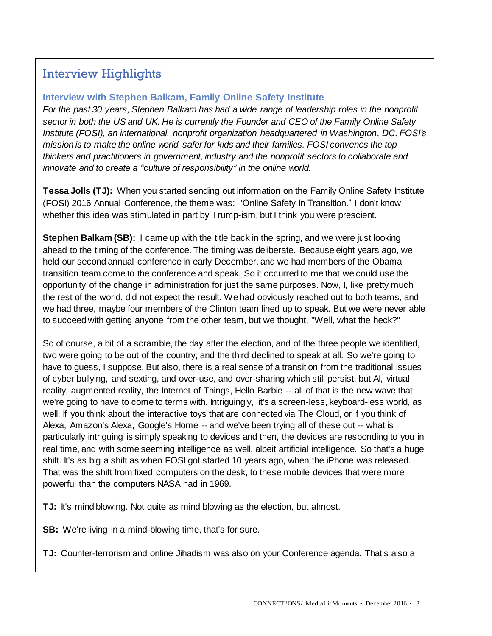# Interview Highlights

### **Interview with Stephen Balkam, Family Online Safety Institute**

*For the past 30 years, Stephen Balkam has had a wide range of leadership roles in the nonprofit sector in both the US and UK. He is currently the Founder and CEO of the Family Online Safety Institute (FOSI), an international, nonprofit organization headquartered in Washington, DC. FOSI's mission is to make the online world safer for kids and their families. FOSI convenes the top thinkers and practitioners in government, industry and the nonprofit sectors to collaborate and innovate and to create a "culture of responsibility" in the online world.*

**Tessa Jolls (TJ):** When you started sending out information on the Family Online Safety Institute (FOSI) 2016 Annual Conference, the theme was: "Online Safety in Transition." I don't know whether this idea was stimulated in part by Trump-ism, but I think you were prescient.

**Stephen Balkam (SB):** I came up with the title back in the spring, and we were just looking ahead to the timing of the conference. The timing was deliberate. Because eight years ago, we held our second annual conference in early December, and we had members of the Obama transition team come to the conference and speak. So it occurred to me that we could use the opportunity of the change in administration for just the same purposes. Now, I, like pretty much the rest of the world, did not expect the result. We had obviously reached out to both teams, and we had three, maybe four members of the Clinton team lined up to speak. But we were never able to succeed with getting anyone from the other team, but we thought, "Well, what the heck?"

So of course, a bit of a scramble, the day after the election, and of the three people we identified, two were going to be out of the country, and the third declined to speak at all. So we're going to have to guess, I suppose. But also, there is a real sense of a transition from the traditional issues of cyber bullying, and sexting, and over-use, and over-sharing which still persist, but AI, virtual reality, augmented reality, the Internet of Things, Hello Barbie -- all of that is the new wave that we're going to have to come to terms with. Intriguingly, it's a screen-less, keyboard-less world, as well. If you think about the interactive toys that are connected via The Cloud, or if you think of Alexa, Amazon's Alexa, Google's Home -- and we've been trying all of these out -- what is particularly intriguing is simply speaking to devices and then, the devices are responding to you in real time, and with some seeming intelligence as well, albeit artificial intelligence. So that's a huge shift. It's as big a shift as when FOSI got started 10 years ago, when the iPhone was released. That was the shift from fixed computers on the desk, to these mobile devices that were more powerful than the computers NASA had in 1969.

**TJ:** It's mind blowing. Not quite as mind blowing as the election, but almost.

**SB:** We're living in a mind-blowing time, that's for sure.

**TJ:** Counter-terrorism and online Jihadism was also on your Conference agenda. That's also a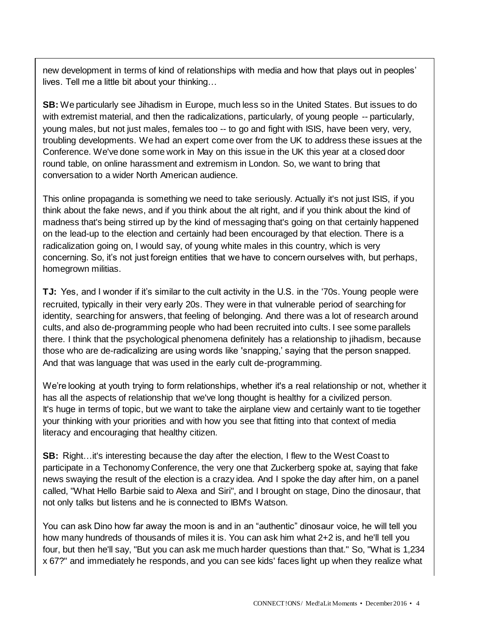new development in terms of kind of relationships with media and how that plays out in peoples' lives. Tell me a little bit about your thinking…

**SB:** We particularly see Jihadism in Europe, much less so in the United States. But issues to do with extremist material, and then the radicalizations, particularly, of young people -- particularly, young males, but not just males, females too -- to go and fight with ISIS, have been very, very, troubling developments. We had an expert come over from the UK to address these issues at the Conference. We've done some work in May on this issue in the UK this year at a closed door round table, on online harassment and extremism in London. So, we want to bring that conversation to a wider North American audience.

This online propaganda is something we need to take seriously. Actually it's not just ISIS, if you think about the fake news, and if you think about the alt right, and if you think about the kind of madness that's being stirred up by the kind of messaging that's going on that certainly happened on the lead-up to the election and certainly had been encouraged by that election. There is a radicalization going on, I would say, of young white males in this country, which is very concerning. So, it's not just foreign entities that we have to concern ourselves with, but perhaps, homegrown militias.

**TJ:** Yes, and I wonder if it's similar to the cult activity in the U.S. in the '70s. Young people were recruited, typically in their very early 20s. They were in that vulnerable period of searching for identity, searching for answers, that feeling of belonging. And there was a lot of research around cults, and also de-programming people who had been recruited into cults. I see some parallels there. I think that the psychological phenomena definitely has a relationship to jihadism, because those who are de-radicalizing are using words like 'snapping,' saying that the person snapped. And that was language that was used in the early cult de-programming.

We're looking at youth trying to form relationships, whether it's a real relationship or not, whether it has all the aspects of relationship that we've long thought is healthy for a civilized person. It's huge in terms of topic, but we want to take the airplane view and certainly want to tie together your thinking with your priorities and with how you see that fitting into that context of media literacy and encouraging that healthy citizen.

**SB:** Right…it's interesting because the day after the election, I flew to the West Coast to participate in a Techonomy Conference, the very one that Zuckerberg spoke at, saying that fake news swaying the result of the election is a crazy idea. And I spoke the day after him, on a panel called, "What Hello Barbie said to Alexa and Siri", and I brought on stage, Dino the dinosaur, that not only talks but listens and he is connected to IBM's Watson.

You can ask Dino how far away the moon is and in an "authentic" dinosaur voice, he will tell you how many hundreds of thousands of miles it is. You can ask him what 2+2 is, and he'll tell you four, but then he'll say, "But you can ask me much harder questions than that." So, "What is 1,234 x 67?" and immediately he responds, and you can see kids' faces light up when they realize what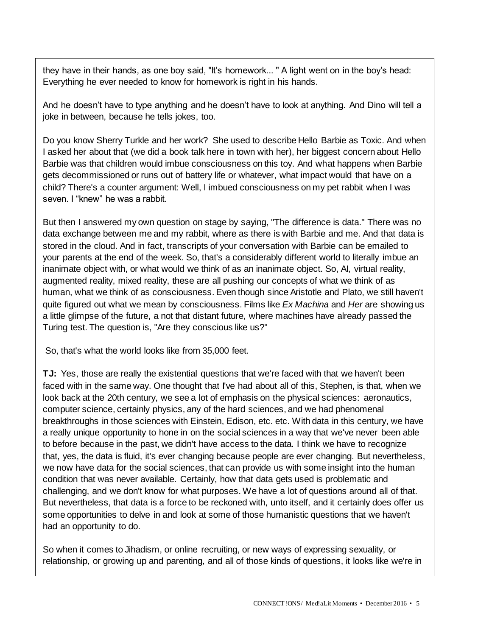they have in their hands, as one boy said, "It's homework... " A light went on in the boy's head: Everything he ever needed to know for homework is right in his hands.

And he doesn't have to type anything and he doesn't have to look at anything. And Dino will tell a joke in between, because he tells jokes, too.

Do you know Sherry Turkle and her work? She used to describe Hello Barbie as Toxic. And when I asked her about that (we did a book talk here in town with her), her biggest concern about Hello Barbie was that children would imbue consciousness on this toy. And what happens when Barbie gets decommissioned or runs out of battery life or whatever, what impact would that have on a child? There's a counter argument: Well, I imbued consciousness on my pet rabbit when I was seven. I "knew" he was a rabbit.

But then I answered my own question on stage by saying, "The difference is data." There was no data exchange between me and my rabbit, where as there is with Barbie and me. And that data is stored in the cloud. And in fact, transcripts of your conversation with Barbie can be emailed to your parents at the end of the week. So, that's a considerably different world to literally imbue an inanimate object with, or what would we think of as an inanimate object. So, AI, virtual reality, augmented reality, mixed reality, these are all pushing our concepts of what we think of as human, what we think of as consciousness. Even though since Aristotle and Plato, we still haven't quite figured out what we mean by consciousness. Films like *Ex Machina* and *Her* are showing us a little glimpse of the future, a not that distant future, where machines have already passed the Turing test. The question is, "Are they conscious like us?"

So, that's what the world looks like from 35,000 feet.

**TJ:** Yes, those are really the existential questions that we're faced with that we haven't been faced with in the same way. One thought that I've had about all of this, Stephen, is that, when we look back at the 20th century, we see a lot of emphasis on the physical sciences: aeronautics, computer science, certainly physics, any of the hard sciences, and we had phenomenal breakthroughs in those sciences with Einstein, Edison, etc. etc. With data in this century, we have a really unique opportunity to hone in on the social sciences in a way that we've never been able to before because in the past, we didn't have access to the data. I think we have to recognize that, yes, the data is fluid, it's ever changing because people are ever changing. But nevertheless, we now have data for the social sciences, that can provide us with some insight into the human condition that was never available. Certainly, how that data gets used is problematic and challenging, and we don't know for what purposes. We have a lot of questions around all of that. But nevertheless, that data is a force to be reckoned with, unto itself, and it certainly does offer us some opportunities to delve in and look at some of those humanistic questions that we haven't had an opportunity to do.

So when it comes to Jihadism, or online recruiting, or new ways of expressing sexuality, or relationship, or growing up and parenting, and all of those kinds of questions, it looks like we're in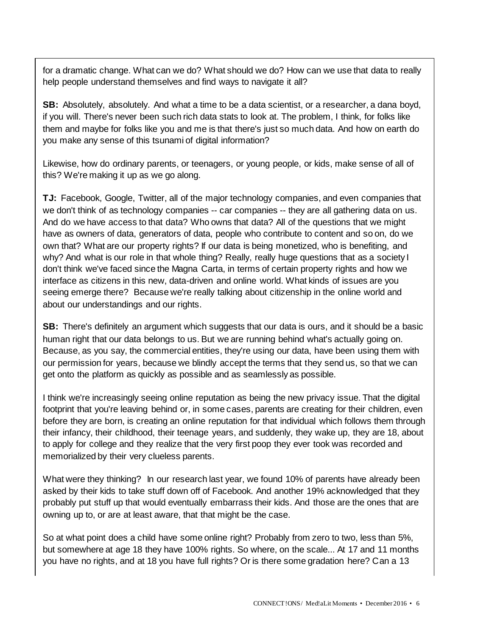for a dramatic change. What can we do? What should we do? How can we use that data to really help people understand themselves and find ways to navigate it all?

**SB:** Absolutely, absolutely. And what a time to be a data scientist, or a researcher, a dana boyd, if you will. There's never been such rich data stats to look at. The problem, I think, for folks like them and maybe for folks like you and me is that there's just so much data. And how on earth do you make any sense of this tsunami of digital information?

Likewise, how do ordinary parents, or teenagers, or young people, or kids, make sense of all of this? We're making it up as we go along.

**TJ:** Facebook, Google, Twitter, all of the major technology companies, and even companies that we don't think of as technology companies -- car companies -- they are all gathering data on us. And do we have access to that data? Who owns that data? All of the questions that we might have as owners of data, generators of data, people who contribute to content and so on, do we own that? What are our property rights? If our data is being monetized, who is benefiting, and why? And what is our role in that whole thing? Really, really huge questions that as a society I don't think we've faced since the Magna Carta, in terms of certain property rights and how we interface as citizens in this new, data-driven and online world. What kinds of issues are you seeing emerge there? Because we're really talking about citizenship in the online world and about our understandings and our rights.

**SB:** There's definitely an argument which suggests that our data is ours, and it should be a basic human right that our data belongs to us. But we are running behind what's actually going on. Because, as you say, the commercial entities, they're using our data, have been using them with our permission for years, because we blindly accept the terms that they send us, so that we can get onto the platform as quickly as possible and as seamlessly as possible.

I think we're increasingly seeing online reputation as being the new privacy issue. That the digital footprint that you're leaving behind or, in some cases, parents are creating for their children, even before they are born, is creating an online reputation for that individual which follows them through their infancy, their childhood, their teenage years, and suddenly, they wake up, they are 18, about to apply for college and they realize that the very first poop they ever took was recorded and memorialized by their very clueless parents.

What were they thinking? In our research last year, we found 10% of parents have already been asked by their kids to take stuff down off of Facebook. And another 19% acknowledged that they probably put stuff up that would eventually embarrass their kids. And those are the ones that are owning up to, or are at least aware, that that might be the case.

So at what point does a child have some online right? Probably from zero to two, less than 5%, but somewhere at age 18 they have 100% rights. So where, on the scale... At 17 and 11 months you have no rights, and at 18 you have full rights? Or is there some gradation here? Can a 13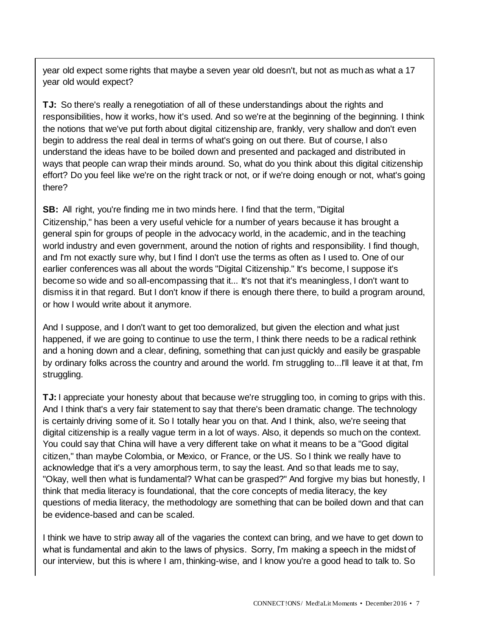year old expect some rights that maybe a seven year old doesn't, but not as much as what a 17 year old would expect?

**TJ:** So there's really a renegotiation of all of these understandings about the rights and responsibilities, how it works, how it's used. And so we're at the beginning of the beginning. I think the notions that we've put forth about digital citizenship are, frankly, very shallow and don't even begin to address the real deal in terms of what's going on out there. But of course, I also understand the ideas have to be boiled down and presented and packaged and distributed in ways that people can wrap their minds around. So, what do you think about this digital citizenship effort? Do you feel like we're on the right track or not, or if we're doing enough or not, what's going there?

**SB:** All right, you're finding me in two minds here. I find that the term, "Digital Citizenship," has been a very useful vehicle for a number of years because it has brought a general spin for groups of people in the advocacy world, in the academic, and in the teaching world industry and even government, around the notion of rights and responsibility. I find though, and I'm not exactly sure why, but I find I don't use the terms as often as I used to. One of our earlier conferences was all about the words "Digital Citizenship." It's become, I suppose it's become so wide and so all-encompassing that it... It's not that it's meaningless, I don't want to dismiss it in that regard. But I don't know if there is enough there there, to build a program around, or how I would write about it anymore.

And I suppose, and I don't want to get too demoralized, but given the election and what just happened, if we are going to continue to use the term, I think there needs to be a radical rethink and a honing down and a clear, defining, something that can just quickly and easily be graspable by ordinary folks across the country and around the world. I'm struggling to...I'll leave it at that, I'm struggling.

**TJ:** I appreciate your honesty about that because we're struggling too, in coming to grips with this. And I think that's a very fair statement to say that there's been dramatic change. The technology is certainly driving some of it. So I totally hear you on that. And I think, also, we're seeing that digital citizenship is a really vague term in a lot of ways. Also, it depends so much on the context. You could say that China will have a very different take on what it means to be a "Good digital citizen," than maybe Colombia, or Mexico, or France, or the US. So I think we really have to acknowledge that it's a very amorphous term, to say the least. And so that leads me to say, "Okay, well then what is fundamental? What can be grasped?" And forgive my bias but honestly, I think that media literacy is foundational, that the core concepts of media literacy, the key questions of media literacy, the methodology are something that can be boiled down and that can be evidence-based and can be scaled.

I think we have to strip away all of the vagaries the context can bring, and we have to get down to what is fundamental and akin to the laws of physics. Sorry, I'm making a speech in the midst of our interview, but this is where I am, thinking-wise, and I know you're a good head to talk to. So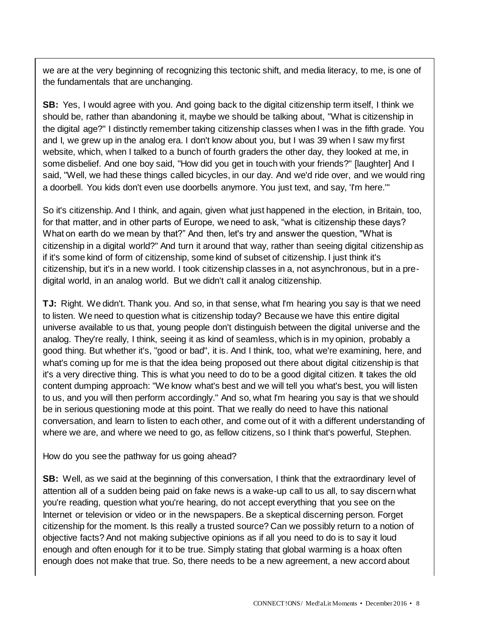we are at the very beginning of recognizing this tectonic shift, and media literacy, to me, is one of the fundamentals that are unchanging.

**SB:** Yes, I would agree with you. And going back to the digital citizenship term itself, I think we should be, rather than abandoning it, maybe we should be talking about, "What is citizenship in the digital age?" I distinctly remember taking citizenship classes when I was in the fifth grade. You and I, we grew up in the analog era. I don't know about you, but I was 39 when I saw my first website, which, when I talked to a bunch of fourth graders the other day, they looked at me, in some disbelief. And one boy said, "How did you get in touch with your friends?" [laughter] And I said, "Well, we had these things called bicycles, in our day. And we'd ride over, and we would ring a doorbell. You kids don't even use doorbells anymore. You just text, and say, 'I'm here.'"

So it's citizenship. And I think, and again, given what just happened in the election, in Britain, too, for that matter, and in other parts of Europe, we need to ask, "what is citizenship these days? What on earth do we mean by that?" And then, let's try and answer the question, "What is citizenship in a digital world?" And turn it around that way, rather than seeing digital citizenship as if it's some kind of form of citizenship, some kind of subset of citizenship. I just think it's citizenship, but it's in a new world. I took citizenship classes in a, not asynchronous, but in a predigital world, in an analog world. But we didn't call it analog citizenship.

**TJ:** Right. We didn't. Thank you. And so, in that sense, what I'm hearing you say is that we need to listen. We need to question what is citizenship today? Because we have this entire digital universe available to us that, young people don't distinguish between the digital universe and the analog. They're really, I think, seeing it as kind of seamless, which is in my opinion, probably a good thing. But whether it's, "good or bad", it is. And I think, too, what we're examining, here, and what's coming up for me is that the idea being proposed out there about digital citizenship is that it's a very directive thing. This is what you need to do to be a good digital citizen. It takes the old content dumping approach: "We know what's best and we will tell you what's best, you will listen to us, and you will then perform accordingly." And so, what I'm hearing you say is that we should be in serious questioning mode at this point. That we really do need to have this national conversation, and learn to listen to each other, and come out of it with a different understanding of where we are, and where we need to go, as fellow citizens, so I think that's powerful, Stephen.

How do you see the pathway for us going ahead?

**SB:** Well, as we said at the beginning of this conversation, I think that the extraordinary level of attention all of a sudden being paid on fake news is a wake-up call to us all, to say discern what you're reading, question what you're hearing, do not accept everything that you see on the Internet or television or video or in the newspapers. Be a skeptical discerning person. Forget citizenship for the moment. Is this really a trusted source? Can we possibly return to a notion of objective facts? And not making subjective opinions as if all you need to do is to say it loud enough and often enough for it to be true. Simply stating that global warming is a hoax often enough does not make that true. So, there needs to be a new agreement, a new accord about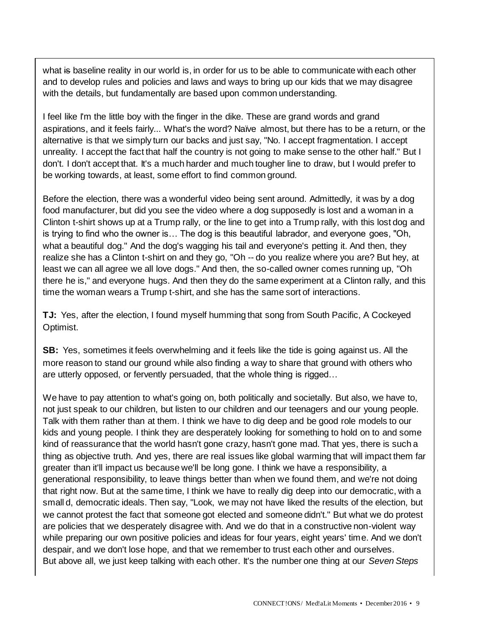what is baseline reality in our world is, in order for us to be able to communicate with each other and to develop rules and policies and laws and ways to bring up our kids that we may disagree with the details, but fundamentally are based upon common understanding.

I feel like I'm the little boy with the finger in the dike. These are grand words and grand aspirations, and it feels fairly... What's the word? Naïve almost, but there has to be a return, or the alternative is that we simply turn our backs and just say, "No. I accept fragmentation. I accept unreality. I accept the fact that half the country is not going to make sense to the other half." But I don't. I don't accept that. It's a much harder and much tougher line to draw, but I would prefer to be working towards, at least, some effort to find common ground.

Before the election, there was a wonderful video being sent around. Admittedly, it was by a dog food manufacturer, but did you see the video where a dog supposedly is lost and a woman in a Clinton t-shirt shows up at a Trump rally, or the line to get into a Trump rally, with this lost dog and is trying to find who the owner is… The dog is this beautiful labrador, and everyone goes, "Oh, what a beautiful dog." And the dog's wagging his tail and everyone's petting it. And then, they realize she has a Clinton t-shirt on and they go, "Oh -- do you realize where you are? But hey, at least we can all agree we all love dogs." And then, the so-called owner comes running up, "Oh there he is," and everyone hugs. And then they do the same experiment at a Clinton rally, and this time the woman wears a Trump t-shirt, and she has the same sort of interactions.

**TJ:** Yes, after the election, I found myself humming that song from South Pacific, A Cockeyed Optimist.

**SB:** Yes, sometimes it feels overwhelming and it feels like the tide is going against us. All the more reason to stand our ground while also finding a way to share that ground with others who are utterly opposed, or fervently persuaded, that the whole thing is rigged…

We have to pay attention to what's going on, both politically and societally. But also, we have to, not just speak to our children, but listen to our children and our teenagers and our young people. Talk with them rather than at them. I think we have to dig deep and be good role models to our kids and young people. I think they are desperately looking for something to hold on to and some kind of reassurance that the world hasn't gone crazy, hasn't gone mad. That yes, there is such a thing as objective truth. And yes, there are real issues like global warming that will impact them far greater than it'll impact us because we'll be long gone. I think we have a responsibility, a generational responsibility, to leave things better than when we found them, and we're not doing that right now. But at the same time, I think we have to really dig deep into our democratic, with a small d, democratic ideals. Then say, "Look, we may not have liked the results of the election, but we cannot protest the fact that someone got elected and someone didn't." But what we do protest are policies that we desperately disagree with. And we do that in a constructive non-violent way while preparing our own positive policies and ideas for four years, eight years' time. And we don't despair, and we don't lose hope, and that we remember to trust each other and ourselves. But above all, we just keep talking with each other. It's the number one thing at our *Seven Steps*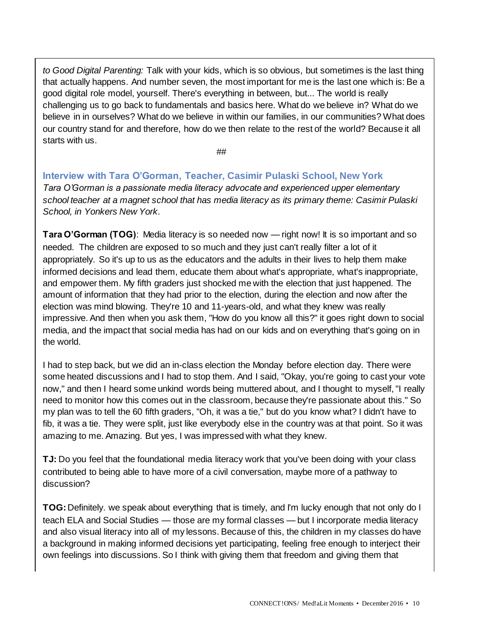*to Good Digital Parenting:* Talk with your kids, which is so obvious, but sometimes is the last thing that actually happens. And number seven, the most important for me is the last one which is: Be a good digital role model, yourself. There's everything in between, but... The world is really challenging us to go back to fundamentals and basics here. What do we believe in? What do we believe in in ourselves? What do we believe in within our families, in our communities? What does our country stand for and therefore, how do we then relate to the rest of the world? Because it all starts with us.

##

**Interview with Tara O'Gorman, Teacher, Casimir Pulaski School, New York** *Tara O'Gorman is a passionate media literacy advocate and experienced upper elementary school teacher at a magnet school that has media literacy as its primary theme: Casimir Pulaski School, in Yonkers New York.*

**Tara O'Gorman (TOG)**: Media literacy is so needed now — right now! It is so important and so needed. The children are exposed to so much and they just can't really filter a lot of it appropriately. So it's up to us as the educators and the adults in their lives to help them make informed decisions and lead them, educate them about what's appropriate, what's inappropriate, and empower them. My fifth graders just shocked me with the election that just happened. The amount of information that they had prior to the election, during the election and now after the election was mind blowing. They're 10 and 11-years-old, and what they knew was really impressive. And then when you ask them, "How do you know all this?" it goes right down to social media, and the impact that social media has had on our kids and on everything that's going on in the world.

I had to step back, but we did an in-class election the Monday before election day. There were some heated discussions and I had to stop them. And I said, "Okay, you're going to cast your vote now," and then I heard some unkind words being muttered about, and I thought to myself, "I really need to monitor how this comes out in the classroom, because they're passionate about this." So my plan was to tell the 60 fifth graders, "Oh, it was a tie," but do you know what? I didn't have to fib, it was a tie. They were split, just like everybody else in the country was at that point. So it was amazing to me. Amazing. But yes, I was impressed with what they knew.

**TJ:** Do you feel that the foundational media literacy work that you've been doing with your class contributed to being able to have more of a civil conversation, maybe more of a pathway to discussion?

**TOG:**Definitely. we speak about everything that is timely, and I'm lucky enough that not only do I teach ELA and Social Studies — those are my formal classes — but I incorporate media literacy and also visual literacy into all of my lessons. Because of this, the children in my classes do have a background in making informed decisions yet participating, feeling free enough to interject their own feelings into discussions. So I think with giving them that freedom and giving them that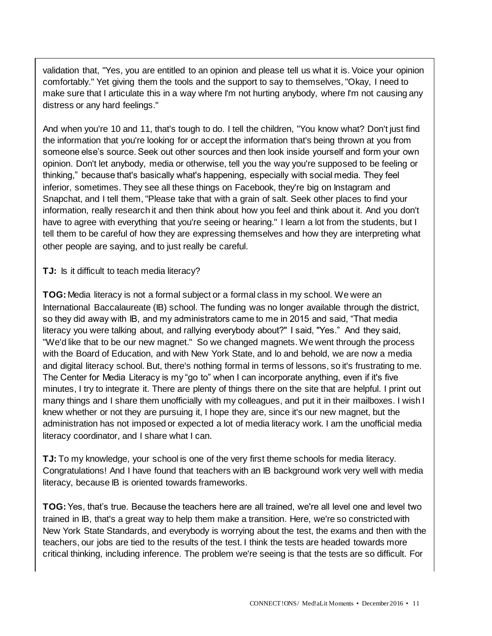validation that, "Yes, you are entitled to an opinion and please tell us what it is. Voice your opinion comfortably." Yet giving them the tools and the support to say to themselves, "Okay, I need to make sure that I articulate this in a way where I'm not hurting anybody, where I'm not causing any distress or any hard feelings."

And when you're 10 and 11, that's tough to do. I tell the children, "You know what? Don't just find the information that you're looking for or accept the information that's being thrown at you from someone else's source. Seek out other sources and then look inside yourself and form your own opinion. Don't let anybody, media or otherwise, tell you the way you're supposed to be feeling or thinking," because that's basically what's happening, especially with social media. They feel inferior, sometimes. They see all these things on Facebook, they're big on Instagram and Snapchat, and I tell them, "Please take that with a grain of salt. Seek other places to find your information, really research it and then think about how you feel and think about it. And you don't have to agree with everything that you're seeing or hearing." I learn a lot from the students, but I tell them to be careful of how they are expressing themselves and how they are interpreting what other people are saying, and to just really be careful.

**TJ:** Is it difficult to teach media literacy?

**TOG:**Media literacy is not a formal subject or a formal class in my school. We were an International Baccalaureate (IB) school. The funding was no longer available through the district, so they did away with IB, and my administrators came to me in 2015 and said, "That media literacy you were talking about, and rallying everybody about?" I said, "Yes." And they said, "We'd like that to be our new magnet." So we changed magnets. We went through the process with the Board of Education, and with New York State, and lo and behold, we are now a media and digital literacy school. But, there's nothing formal in terms of lessons, so it's frustrating to me. The Center for Media Literacy is my "go to" when I can incorporate anything, even if it's five minutes, I try to integrate it. There are plenty of things there on the site that are helpful. I print out many things and I share them unofficially with my colleagues, and put it in their mailboxes. I wish I knew whether or not they are pursuing it, I hope they are, since it's our new magnet, but the administration has not imposed or expected a lot of media literacy work. I am the unofficial media literacy coordinator, and I share what I can.

**TJ:** To my knowledge, your school is one of the very first theme schools for media literacy. Congratulations! And I have found that teachers with an IB background work very well with media literacy, because IB is oriented towards frameworks.

**TOG:**Yes, that's true. Because the teachers here are all trained, we're all level one and level two trained in IB, that's a great way to help them make a transition. Here, we're so constricted with New York State Standards, and everybody is worrying about the test, the exams and then with the teachers, our jobs are tied to the results of the test. I think the tests are headed towards more critical thinking, including inference. The problem we're seeing is that the tests are so difficult. For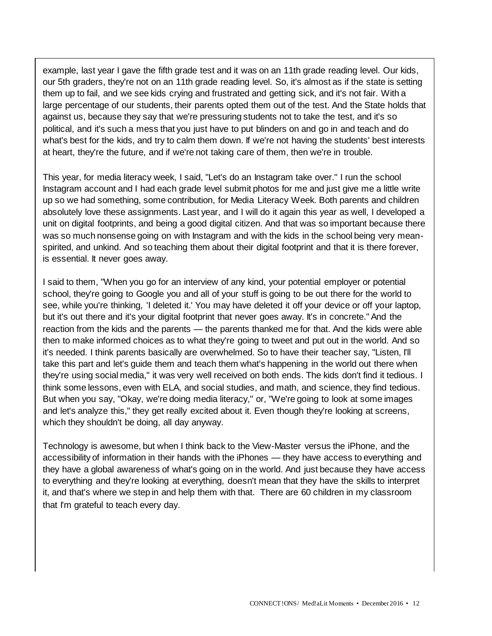example, last year I gave the fifth grade test and it was on an 11th grade reading level. Our kids, our 5th graders, they're not on an 11th grade reading level. So, it's almost as if the state is setting them up to fail, and we see kids crying and frustrated and getting sick, and it's not fair. With a large percentage of our students, their parents opted them out of the test. And the State holds that against us, because they say that we're pressuring students not to take the test, and it's so political, and it's such a mess that you just have to put blinders on and go in and teach and do what's best for the kids, and try to calm them down. If we're not having the students' best interests at heart, they're the future, and if we're not taking care of them, then we're in trouble.

This year, for media literacy week, I said, "Let's do an Instagram take over." I run the school Instagram account and I had each grade level submit photos for me and just give me a little write up so we had something, some contribution, for Media Literacy Week. Both parents and children absolutely love these assignments. Last year, and I will do it again this year as well, I developed a unit on digital footprints, and being a good digital citizen. And that was so important because there was so much nonsense going on with Instagram and with the kids in the school being very meanspirited, and unkind. And so teaching them about their digital footprint and that it is there forever, is essential. It never goes away.

I said to them, "When you go for an interview of any kind, your potential employer or potential school, they're going to Google you and all of your stuff is going to be out there for the world to see, while you're thinking, 'I deleted it.' You may have deleted it off your device or off your laptop, but it's out there and it's your digital footprint that never goes away. It's in concrete." And the reaction from the kids and the parents — the parents thanked me for that. And the kids were able then to make informed choices as to what they're going to tweet and put out in the world. And so it's needed. I think parents basically are overwhelmed. So to have their teacher say, "Listen, I'll take this part and let's guide them and teach them what's happening in the world out there when they're using social media," it was very well received on both ends. The kids don't find it tedious. I think some lessons, even with ELA, and social studies, and math, and science, they find tedious. But when you say, "Okay, we're doing media literacy," or, "We're going to look at some images and let's analyze this," they get really excited about it. Even though they're looking at screens, which they shouldn't be doing, all day anyway.

Technology is awesome, but when I think back to the View-Master versus the iPhone, and the accessibility of information in their hands with the iPhones — they have access to everything and they have a global awareness of what's going on in the world. And just because they have access to everything and they're looking at everything, doesn't mean that they have the skills to interpret it, and that's where we step in and help them with that. There are 60 children in my classroom that I'm grateful to teach every day.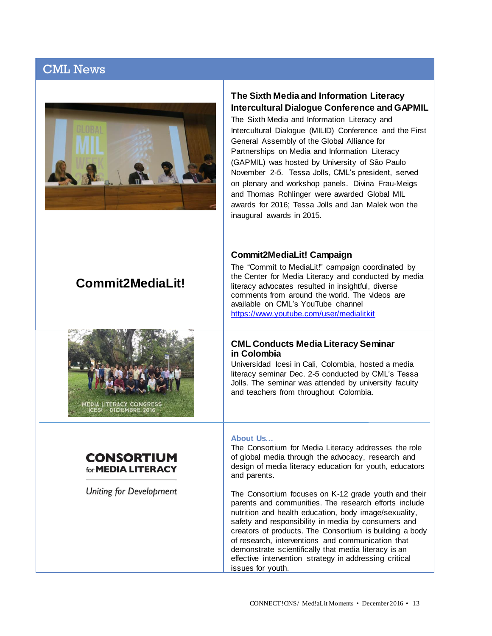|  | <b>CML News</b> |  |  |  |
|--|-----------------|--|--|--|
|--|-----------------|--|--|--|



**Commit2MediaLit!**

#### **The Sixth Media and Information Literacy Intercultural Dialogue Conference and GAPMIL**

The Sixth Media and Information Literacy and Intercultural Dialogue (MILID) Conference and the First General Assembly of the Global Alliance for Partnerships on Media and Information Literacy (GAPMIL) was hosted by University of São Paulo November 2-5. Tessa Jolls, CML's president, served on plenary and workshop panels. Divina Frau-Meigs and Thomas Rohlinger were awarded Global MIL awards for 2016; Tessa Jolls and Jan Malek won the inaugural awards in 2015.

#### **Commit2MediaLit! Campaign**

The "Commit to MediaLit!" campaign coordinated by the Center for Media Literacy and conducted by media literacy advocates resulted in insightful, diverse comments from around the world. The videos are available on CML's YouTube channel <https://www.youtube.com/user/medialitkit>

#### **CML Conducts Media Literacy Seminar in Colombia**

Universidad Icesi in Cali, Colombia, hosted a media literacy seminar Dec. 2-5 conducted by CML's Tessa Jolls. The seminar was attended by university faculty and teachers from throughout Colombia.

#### **About Us…**

The Consortium for Media Literacy addresses the role of global media through the advocacy, research and design of media literacy education for youth, educators and parents.

The Consortium focuses on K-12 grade youth and their parents and communities. The research efforts include nutrition and health education, body image/sexuality, safety and responsibility in media by consumers and creators of products. The Consortium is building a body of research, interventions and communication that demonstrate scientifically that media literacy is an effective intervention strategy in addressing critical issues for youth.

#### **CONSORTIUM** for **MEDIA LITERACY**

LITERACY CONGRES<br>II - DICIEMBRE 2016

**Uniting for Development**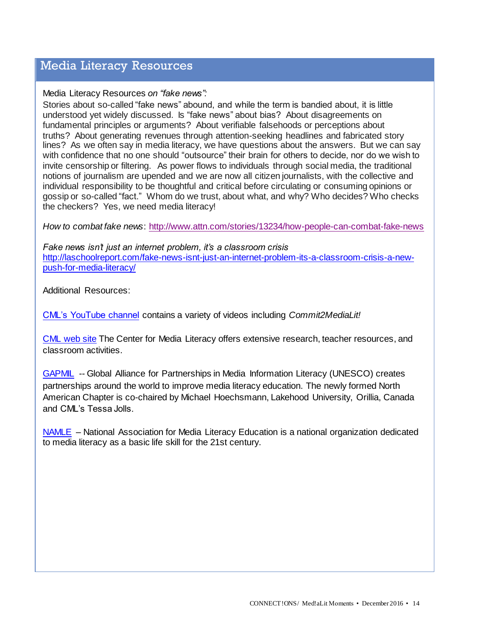## Media Literacy Resources

Media Literacy Resources *on "fake news":*

Stories about so-called "fake news" abound, and while the term is bandied about, it is little understood yet widely discussed. Is "fake news" about bias? About disagreements on fundamental principles or arguments? About verifiable falsehoods or perceptions about truths? About generating revenues through attention-seeking headlines and fabricated story lines? As we often say in media literacy, we have questions about the answers. But we can say with confidence that no one should "outsource" their brain for others to decide, nor do we wish to invite censorship or filtering. As power flows to individuals through social media, the traditional notions of journalism are upended and we are now all citizen journalists, with the collective and individual responsibility to be thoughtful and critical before circulating or consuming opinions or gossip or so-called "fact." Whom do we trust, about what, and why? Who decides? Who checks the checkers? Yes, we need media literacy!

*How to combat fake news*:<http://www.attn.com/stories/13234/how-people-can-combat-fake-news>

*Fake news isn't just an internet problem, it's a classroom crisis* [http://laschoolreport.com/fake-news-isnt-just-an-internet-problem-its-a-classroom-crisis-a-new](http://laschoolreport.com/fake-news-isnt-just-an-internet-problem-its-a-classroom-crisis-a-new-push-for-media-literacy/)[push-for-media-literacy/](http://laschoolreport.com/fake-news-isnt-just-an-internet-problem-its-a-classroom-crisis-a-new-push-for-media-literacy/)

Additional Resources:

[CML's YouTube channel](https://www.youtube.com/user/medialitkit) contains a variety of videos including *Commit2MediaLit!*

[CML web site](http://medialit.org/) The Center for Media Literacy offers extensive research, teacher resources, and classroom activities.

[GAPMIL](http://www.unesco.org/new/en/communication-and-information/media-development/media-literacy/global-alliance-for-partnerships-on-media-and-information-literacy/) -- Global Alliance for Partnerships in Media Information Literacy (UNESCO) creates partnerships around the world to improve media literacy education. The newly formed North American Chapter is co-chaired by Michael Hoechsmann, Lakehood University, Orillia, Canada and CML's Tessa Jolls.

[NAMLE](http://namle.net/) – National Association for Media Literacy Education is a national organization dedicated to media literacy as a basic life skill for the 21st century.